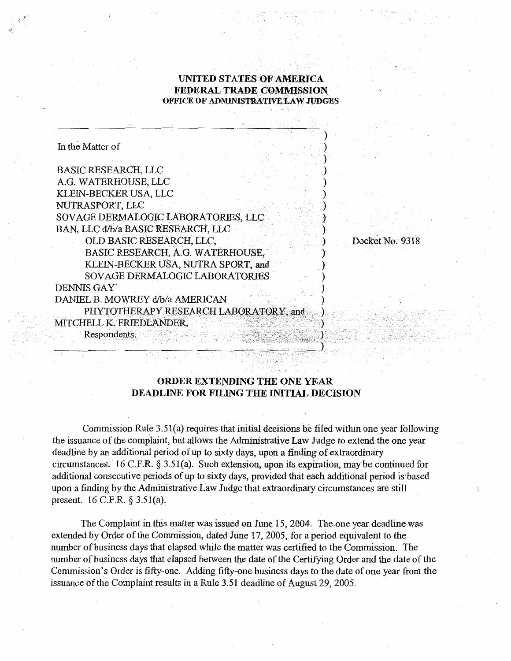## **UNITED STATES OF AMERICA FEDERAL TRADE COMMISSION OFFICE OF ADMENISTRA'IWE LAW JUDGES**

| In the Matter of                      |  |
|---------------------------------------|--|
|                                       |  |
| <b>BASIC RESEARCH, LLC</b>            |  |
| A.G. WATERHOUSE, LLC                  |  |
| KLEIN-BECKER USA, LLC                 |  |
| NUTRASPORT, LLC                       |  |
| SOVAGE DERMALOGIC LABORATORIES, LLC   |  |
| BAN, LLC d/b/a BASIC RESEARCH, LLC    |  |
| OLD BASIC RESEARCH, LLC,              |  |
| BASIC RESEARCH, A.G. WATERHOUSE.      |  |
| KLEIN-BECKER USA, NUTRA SPORT, and    |  |
| SOVAGE DERMALOGIC LABORATORIES        |  |
| DENNIS GAY'                           |  |
| DANIEL B. MOWREY d/b/a AMERICAN       |  |
| PHYTOTHERAPY RESEARCH LABORATORY, and |  |
| MITCHELL K. FRIEDLANDER,              |  |
| Respondents.                          |  |
|                                       |  |

Docket No. 9318

## **ORDER EXTENDING THE ONE YEAR DEADLINE FOR FILING THE INITIAL DECISION**

Commission Rule 3.5 1(a) requires that initial decisions be filed within one year following the issuance of the complaint, but allows the Administrative Law Judge to extend the one year deadline by an additional period of up to sixty days, upon a finding of extraordinary circumstances. 16 C.F.R. **9** 3.5 l(a). Such extension, upon its expiration, may be continued for additional consecutive periods of up to sixty days, provided that each additional period is-based upon a finding by the Administrative Law Judge that extraordinary circumstances are still present. 16 C.F.R.  $\S$  3.51(a).

The Complaint in this matter was issued on June 15,2004. The one year deadline was extended by Order of the Commission, dated June 17,2005, for a period equivalent to the number of business days that elapsed while the matter was certified to the Commission. The number of business days that elapsed between the date of the Certifying Order and the date of the Commission's Order is fifty-one. Adding fifty-one business days to the date of one year from the issuance of the Complaint results in a Rule 3.5 1 deadline of August 29, 2005.